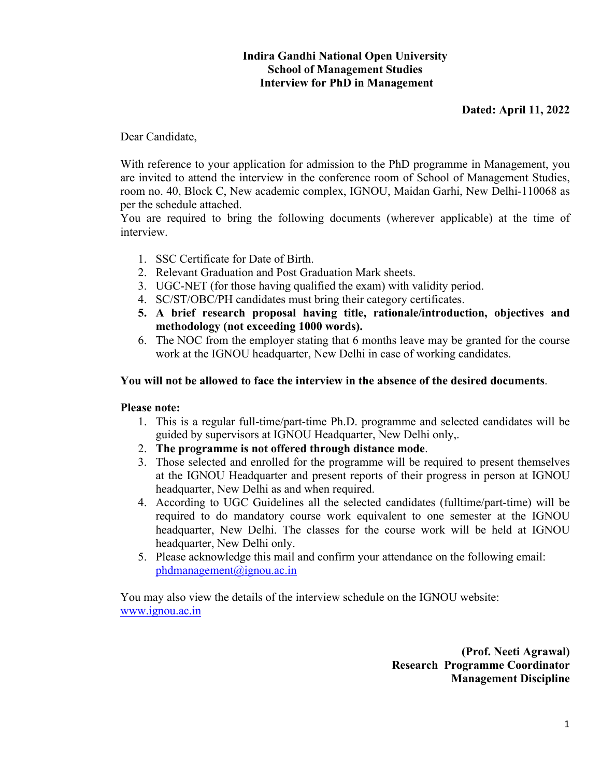# **Indira Gandhi National Open University School of Management Studies Interview for PhD in Management**

# **Dated: April 11, 2022**

Dear Candidate,

With reference to your application for admission to the PhD programme in Management, you are invited to attend the interview in the conference room of School of Management Studies, room no. 40, Block C, New academic complex, IGNOU, Maidan Garhi, New Delhi-110068 as per the schedule attached.

You are required to bring the following documents (wherever applicable) at the time of interview.

- 1. SSC Certificate for Date of Birth.
- 2. Relevant Graduation and Post Graduation Mark sheets.
- 3. UGC-NET (for those having qualified the exam) with validity period.
- 4. SC/ST/OBC/PH candidates must bring their category certificates.
- **5. A brief research proposal having title, rationale/introduction, objectives and methodology (not exceeding 1000 words).**
- 6. The NOC from the employer stating that 6 months leave may be granted for the course work at the IGNOU headquarter, New Delhi in case of working candidates.

## **You will not be allowed to face the interview in the absence of the desired documents**.

## **Please note:**

- 1. This is a regular full-time/part-time Ph.D. programme and selected candidates will be guided by supervisors at IGNOU Headquarter, New Delhi only,.
- 2. **The programme is not offered through distance mode**.
- 3. Those selected and enrolled for the programme will be required to present themselves at the IGNOU Headquarter and present reports of their progress in person at IGNOU headquarter, New Delhi as and when required.
- 4. According to UGC Guidelines all the selected candidates (fulltime/part-time) will be required to do mandatory course work equivalent to one semester at the IGNOU headquarter, New Delhi. The classes for the course work will be held at IGNOU headquarter, New Delhi only.
- 5. Please acknowledge this mail and confirm your attendance on the following email: phdmanagement@ignou.ac.in

You may also view the details of the interview schedule on the IGNOU website: www.ignou.ac.in

> **(Prof. Neeti Agrawal) Research Programme Coordinator Management Discipline**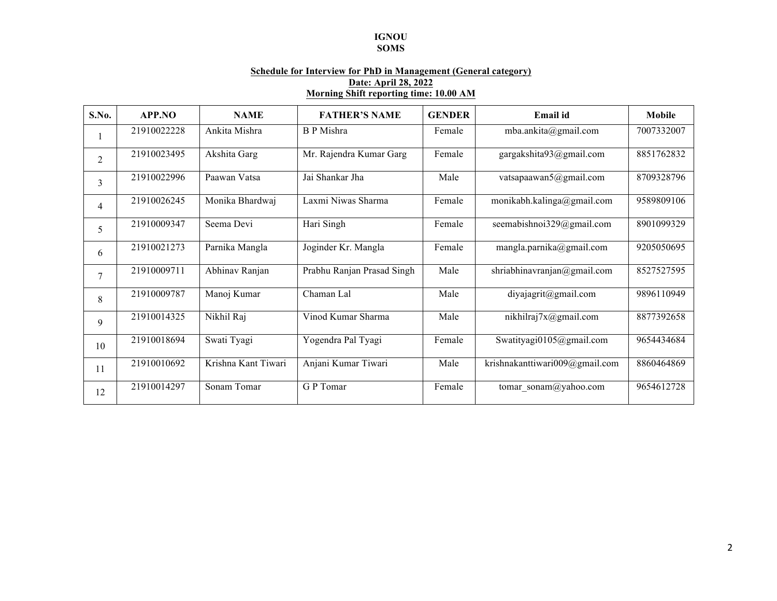### **IGNOU**

#### **SOMS**

### **Schedule for Interview for PhD in Management (General category) Date: April 28, 2022 Morning Shift reporting time: 10.00 AM**

| S.No.          | APP.NO      | <b>NAME</b>         | <b>FATHER'S NAME</b>       | <b>GENDER</b> | Email id                       | <b>Mobile</b> |
|----------------|-------------|---------------------|----------------------------|---------------|--------------------------------|---------------|
|                | 21910022228 | Ankita Mishra       | <b>B</b> P Mishra          | Female        | mba.ankita@gmail.com           | 7007332007    |
| $\overline{2}$ | 21910023495 | Akshita Garg        | Mr. Rajendra Kumar Garg    | Female        | gargakshita93@gmail.com        | 8851762832    |
| 3              | 21910022996 | Paawan Vatsa        | Jai Shankar Jha            | Male          | vatsapaawan5@gmail.com         | 8709328796    |
| 4              | 21910026245 | Monika Bhardwaj     | Laxmi Niwas Sharma         | Female        | monikabh.kalinga@gmail.com     | 9589809106    |
| 5              | 21910009347 | Seema Devi          | Hari Singh                 | Female        | seemabishnoi329@gmail.com      | 8901099329    |
| 6              | 21910021273 | Parnika Mangla      | Joginder Kr. Mangla        | Female        | mangla.parnika@gmail.com       | 9205050695    |
| $\overline{7}$ | 21910009711 | Abhinav Ranjan      | Prabhu Ranjan Prasad Singh | Male          | shriabhinavranjan@gmail.com    | 8527527595    |
| 8              | 21910009787 | Manoj Kumar         | Chaman Lal                 | Male          | diyajagrit@gmail.com           | 9896110949    |
| 9              | 21910014325 | Nikhil Raj          | Vinod Kumar Sharma         | Male          | nikhilraj $7x@gmail.com$       | 8877392658    |
| 10             | 21910018694 | Swati Tyagi         | Yogendra Pal Tyagi         | Female        | Swatityagi0105@gmail.com       | 9654434684    |
| 11             | 21910010692 | Krishna Kant Tiwari | Anjani Kumar Tiwari        | Male          | krishnakanttiwari009@gmail.com | 8860464869    |
| 12             | 21910014297 | Sonam Tomar         | G P Tomar                  | Female        | tomar sonam@yahoo.com          | 9654612728    |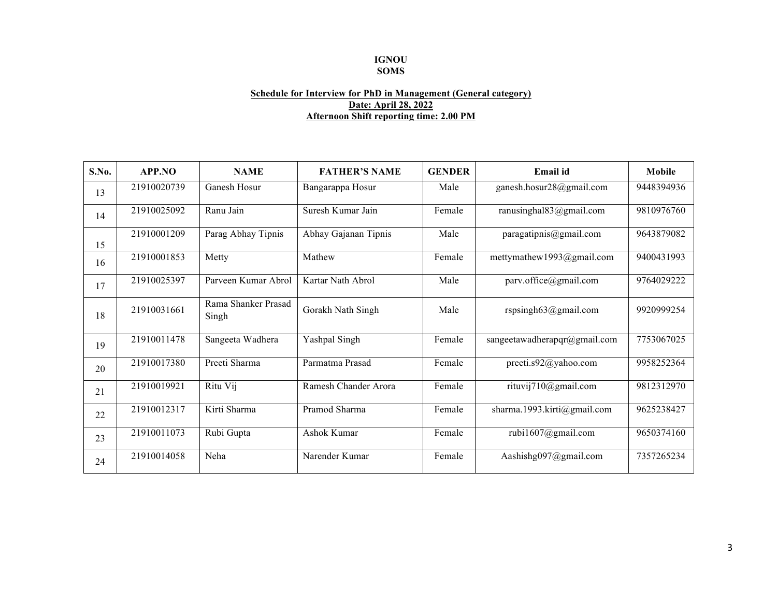### **IGNOU SOMS**

#### **Schedule for Interview for PhD in Management (General category) Date: April 28, 2022 Afternoon Shift reporting time: 2.00 PM**

| S.No. | APP.NO      | <b>NAME</b>                  | <b>FATHER'S NAME</b> | <b>GENDER</b> | Email id                     | <b>Mobile</b> |
|-------|-------------|------------------------------|----------------------|---------------|------------------------------|---------------|
| 13    | 21910020739 | Ganesh Hosur                 | Bangarappa Hosur     | Male          | ganesh.hosur28@gmail.com     | 9448394936    |
| 14    | 21910025092 | Ranu Jain                    | Suresh Kumar Jain    | Female        | ranusinghal $83$ @gmail.com  | 9810976760    |
| 15    | 21910001209 | Parag Abhay Tipnis           | Abhay Gajanan Tipnis | Male          | paragatipnis@gmail.com       | 9643879082    |
| 16    | 21910001853 | Metty                        | Mathew               | Female        | mettymathew1993@gmail.com    | 9400431993    |
| 17    | 21910025397 | Parveen Kumar Abrol          | Kartar Nath Abrol    | Male          | parv.office@gmail.com        | 9764029222    |
| 18    | 21910031661 | Rama Shanker Prasad<br>Singh | Gorakh Nath Singh    | Male          | rspsingh $63@g$ mail.com     | 9920999254    |
| 19    | 21910011478 | Sangeeta Wadhera             | Yashpal Singh        | Female        | sangeetawadherapqr@gmail.com | 7753067025    |
| 20    | 21910017380 | Preeti Sharma                | Parmatma Prasad      | Female        | preeti.s92@yahoo.com         | 9958252364    |
| 21    | 21910019921 | Ritu Vij                     | Ramesh Chander Arora | Female        | rituvij710@gmail.com         | 9812312970    |
| 22    | 21910012317 | Kirti Sharma                 | Pramod Sharma        | Female        | sharma.1993.kirti@gmail.com  | 9625238427    |
| 23    | 21910011073 | Rubi Gupta                   | Ashok Kumar          | Female        | rubi1607@gmail.com           | 9650374160    |
| 24    | 21910014058 | Neha                         | Narender Kumar       | Female        | Aashishg097@gmail.com        | 7357265234    |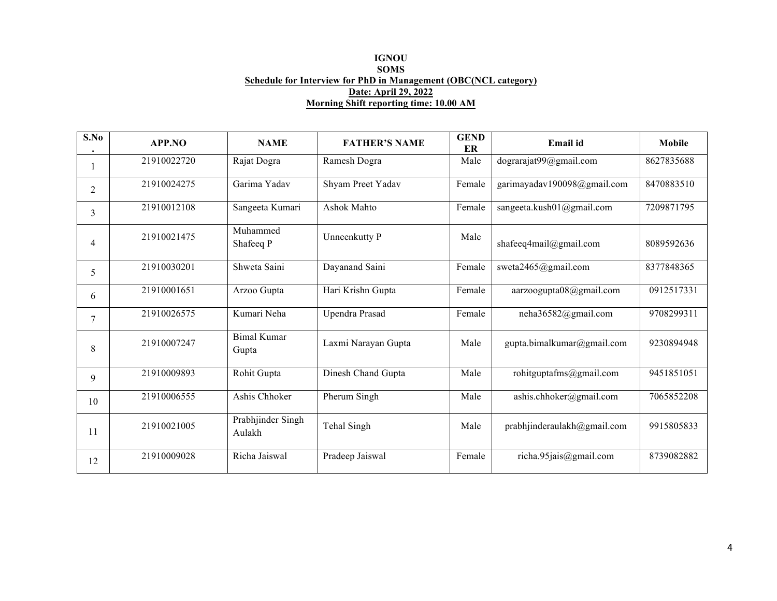#### **IGNOU SOMS Schedule for Interview for PhD in Management (OBC(NCL category) Date: April 29, 2022 Morning Shift reporting time: 10.00 AM**

| S.No | APP.NO      | <b>NAME</b>                 | <b>FATHER'S NAME</b> | <b>GEND</b><br>ER | Email id                    | Mobile     |
|------|-------------|-----------------------------|----------------------|-------------------|-----------------------------|------------|
|      | 21910022720 | Rajat Dogra                 | Ramesh Dogra         | Male              | dograrajat99@gmail.com      | 8627835688 |
| 2    | 21910024275 | Garima Yadav                | Shyam Preet Yadav    | Female            | garimayadav190098@gmail.com | 8470883510 |
| 3    | 21910012108 | Sangeeta Kumari             | Ashok Mahto          | Female            | sangeeta.kush01@gmail.com   | 7209871795 |
| 4    | 21910021475 | Muhammed<br>Shafeeq P       | Unneenkutty P        | Male              | shafeeq4mail@gmail.com      | 8089592636 |
| 5    | 21910030201 | Shweta Saini                | Dayanand Saini       | Female            | sweta2465@gmail.com         | 8377848365 |
| 6    | 21910001651 | Arzoo Gupta                 | Hari Krishn Gupta    | Female            | aarzoogupta08@gmail.com     | 0912517331 |
| 7    | 21910026575 | Kumari Neha                 | Upendra Prasad       | Female            | neha36582@gmail.com         | 9708299311 |
| 8    | 21910007247 | <b>Bimal Kumar</b><br>Gupta | Laxmi Narayan Gupta  | Male              | gupta.bimalkumar@gmail.com  | 9230894948 |
| 9    | 21910009893 | Rohit Gupta                 | Dinesh Chand Gupta   | Male              | rohitguptafms@gmail.com     | 9451851051 |
| 10   | 21910006555 | Ashis Chhoker               | Pherum Singh         | Male              | ashis.chhoker@gmail.com     | 7065852208 |
| 11   | 21910021005 | Prabhjinder Singh<br>Aulakh | Tehal Singh          | Male              | prabhjinderaulakh@gmail.com | 9915805833 |
| 12   | 21910009028 | Richa Jaiswal               | Pradeep Jaiswal      | Female            | richa.95jais@gmail.com      | 8739082882 |